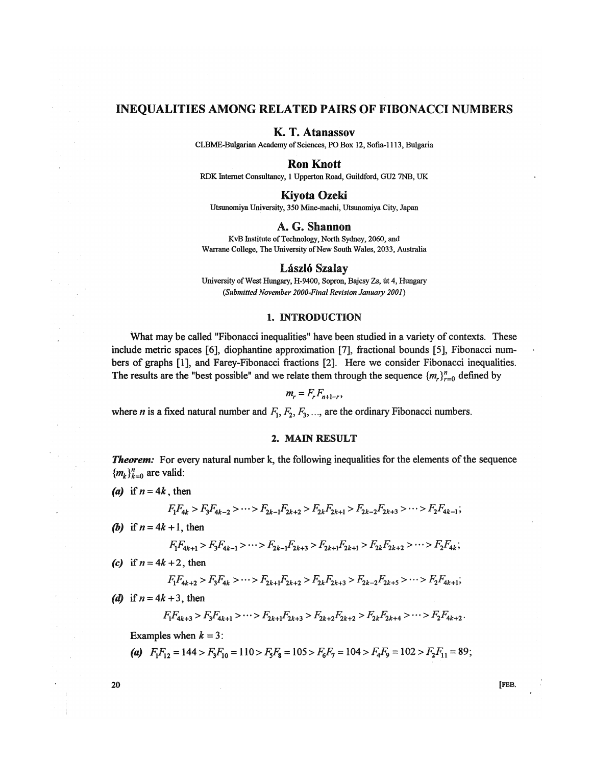# INEQUALITIES AMONG RELATED PAIRS OF FIBONACCI NUMBERS

# K. T. Atanassov

CLBME-Bulgarian Academy of Sciences, PO Box 12, Sofia-1113, Bulgaria

# Ron Knott

RDK Internet Consultancy, 1 Upperton Road, Guildford, GU2 7NB, UK

# Kiyota Ozeki

Utsunomiya University, 350 Mine-machi, Utsunomiya City, Japan

## A. G. Shannon

KvB Institute of Technology, North Sydney, 2060, and Warrane College, The University of New South Wales, 2033, Australia

# László Szalay

University of West Hungary, H-9400, Sopron, Bajcsy Zs, út 4, Hungary *(SubmittedNovember 2000-Finai Revision January 2001)* 

#### 1. INTRODUCTION

What may be called "Fibonacci inequalities" have been studied in a variety of contexts. These include metric spaces [6], diophantine approximation [7], fractional bounds [5], Fibonacci numbers of graphs [1], and Farey-Fibonacci fractions [2]. Here we consider Fibonacci inequalities. The results are the "best possible" and we relate them through the sequence  $\{m_r\}_{r=0}^n$  defined by

$$
m_r = F_r F_{n+1-r},
$$

where *n* is a fixed natural number and  $F_1, F_2, F_3, \ldots$ , are the ordinary Fibonacci numbers.

### 2. MAM RESULT

*Theorem:* For every natural number k, the following inequalities for the elements of the sequence  ${m_k}_{k=0}^n$  are valid:

(a) if  $n = 4k$ , then

$$
F_1F_{4k} > F_3F_{4k-2} > \cdots > F_{2k-1}F_{2k+2} > F_{2k}F_{2k+1} > F_{2k-2}F_{2k+3} > \cdots > F_2F_{4k-1};
$$

*(b)* if  $n = 4k + 1$ , then

$$
F_1F_{4k+1} > F_3F_{4k-1} > \cdots > F_{2k-1}F_{2k+3} > F_{2k+1}F_{2k+1} > F_{2k}F_{2k+2} > \cdots > F_2F_{4k};
$$

*(c)* if  $n = 4k + 2$ , then

$$
F_1F_{4k+2} > F_3F_{4k} > \cdots > F_{2k+1}F_{2k+2} > F_{2k}F_{2k+3} > F_{2k-2}F_{2k+5} > \cdots > F_2F_{4k+1};
$$

(d) if  $n = 4k + 3$ , then

$$
F_1F_{4k+3} > F_3F_{4k+1} > \cdots > F_{2k+1}F_{2k+3} > F_{2k+2}F_{2k+2} > F_{2k}F_{2k+4} > \cdots > F_2F_{4k+2}.
$$

Examples when  $k = 3$ :

*(a)*  $F_1F_{12} = 144 > F_3F_{10} = 110 > F_5F_8 = 105 > F_6F_7 = 104 > F_4F_9 = 102 > F_2F_{11} = 89;$ 

**20** [FEB.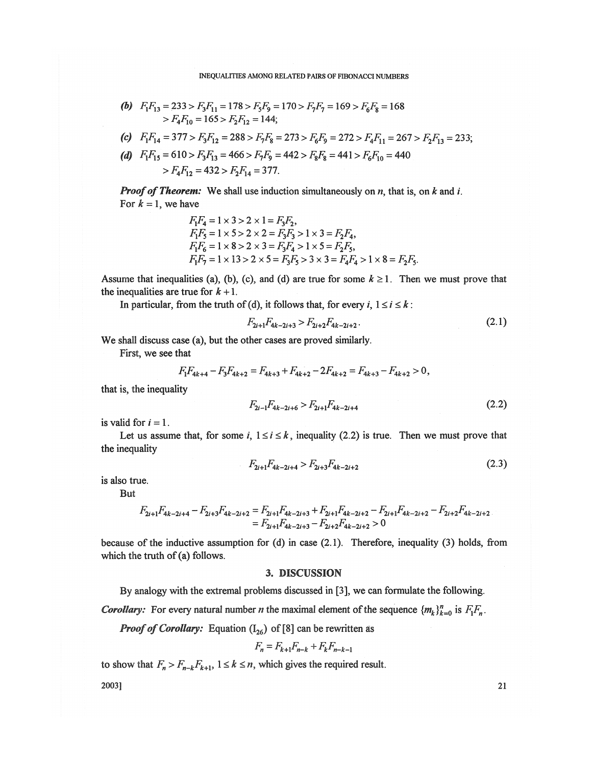#### INEQUALITIES AMONG RELATED PAIRS OF FIBONACCI NUMBERS

**(b)** 
$$
F_1F_{13} = 233 > F_3F_{11} = 178 > F_5F_9 = 170 > F_7F_7 = 169 > F_6F_8 = 168
$$
  
>  $F_4F_{10} = 165 > F_2F_{12} = 144;$ 

(c) 
$$
F_1F_{14} = 377 > F_3F_{12} = 288 > F_7F_8 = 273 > F_6F_9 = 272 > F_4F_{11} = 267 > F_2F_{13} = 233;
$$

(d) 
$$
F_1F_{15} = 610 > F_3F_{13} = 466 > F_7F_9 = 442 > F_8F_8 = 441 > F_6F_{10} = 440
$$
  
>  $F_4F_{12} = 432 > F_2F_{14} = 377$ .

*Proof of Theorem:* We shall use induction simultaneously on *n*, that is, on *k* and *i*. For  $k = 1$ , we have

$$
F_1F_4 = 1 \times 3 > 2 \times 1 = F_3F_2,
$$
  
\n
$$
F_1F_5 = 1 \times 5 > 2 \times 2 = F_3F_3 > 1 \times 3 = F_2F_4,
$$
  
\n
$$
F_1F_6 = 1 \times 8 > 2 \times 3 = F_3F_4 > 1 \times 5 = F_2F_5,
$$
  
\n
$$
F_1F_7 = 1 \times 13 > 2 \times 5 = F_3F_5 > 3 \times 3 = F_4F_4 > 1 \times 8 = F_2F_5.
$$

Assume that inequalities (a), (b), (c), and (d) are true for some  $k \ge 1$ . Then we must prove that the inequalities are true for  $k + 1$ .

In particular, from the truth of (d), it follows that, for every  $i, 1 \le i \le k$ :

$$
F_{2i+1}F_{4k-2i+3} > F_{2i+2}F_{4k-2i+2}.
$$
\n(2.1)

We shall discuss case (a), but the other cases are proved similarly.

First, we see that

$$
F_1F_{4k+4}-F_3F_{4k+2}=F_{4k+3}+F_{4k+2}-2F_{4k+2}=F_{4k+3}-F_{4k+2}>0,
$$

that is, the inequality

$$
F_{2i-1}F_{4k-2i+6} > F_{2i+1}F_{4k-2i+4}
$$
\n(2.2)

is valid for  $i = 1$ .

Let us assume that, for some  $i, 1 \le i \le k$ , inequality (2.2) is true. Then we must prove that the inequality

$$
F_{2i+1}F_{4k-2i+4} > F_{2i+3}F_{4k-2i+2}
$$
\n(2.3)

is also true.

But

$$
F_{2i+1}F_{4k-2i+4} - F_{2i+3}F_{4k-2i+2} = F_{2i+1}F_{4k-2i+3} + F_{2i+1}F_{4k-2i+2} - F_{2i+1}F_{4k-2i+2} - F_{2i+2}F_{4k-2i+2}
$$
  
= 
$$
F_{2i+1}F_{4k-2i+3} - F_{2i+2}F_{4k-2i+2} > 0
$$

because of the inductive assumption for  $(d)$  in case  $(2.1)$ . Therefore, inequality  $(3)$  holds, from which the truth of (a) follows.

# 3. DISCUSSION

By analogy with the extremal problems discussed in [3], we can formulate the following.

*Corollary:* For every natural number *n* the maximal element of the sequence  ${m_k}_{k=0}^n$  is  $F_1F_n$ .

*Proof of Corollary:* Equation  $(I_{26})$  of [8] can be rewritten as

$$
F_n = F_{k+1} F_{n-k} + F_k F_{n-k-1}
$$

to show that  $F_n > F_{n-k}F_{k+1}$ ,  $1 \le k \le n$ , which gives the required result.

 $2003$ ] 21